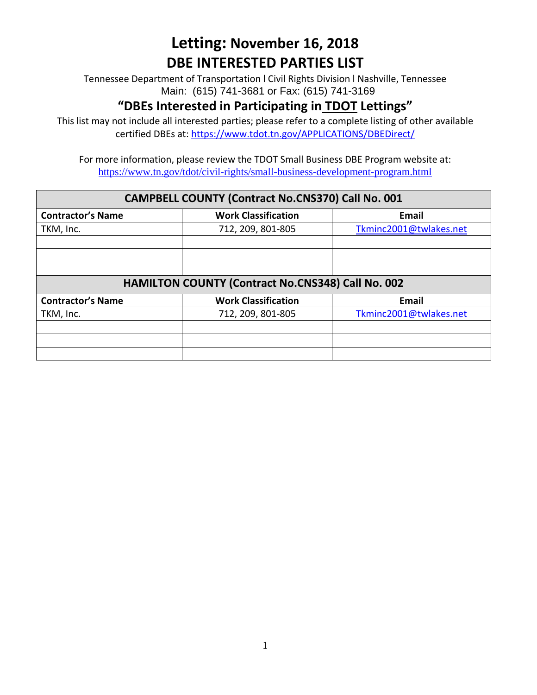# **Letting: November 16, 2018 DBE INTERESTED PARTIES LIST**

Tennessee Department of Transportation l Civil Rights Division l Nashville, Tennessee Main: (615) 741-3681 or Fax: (615) 741-3169

## **"DBEs Interested in Participating in TDOT Lettings"**

This list may not include all interested parties; please refer to a complete listing of other available certified DBEs at:<https://www.tdot.tn.gov/APPLICATIONS/DBEDirect/>

For more information, please review the TDOT Small Business DBE Program website at: <https://www.tn.gov/tdot/civil-rights/small-business-development-program.html>

#### **CAMPBELL COUNTY (Contract No.CNS370) Call No. 001**

| <b>Contractor's Name</b>                          | <b>Work Classification</b> | Email                  |
|---------------------------------------------------|----------------------------|------------------------|
| TKM, Inc.                                         | 712, 209, 801-805          | Tkminc2001@twlakes.net |
|                                                   |                            |                        |
|                                                   |                            |                        |
|                                                   |                            |                        |
| HAMILTON COUNTY (Contract No.CNS348) Call No. 002 |                            |                        |
| <b>Contractor's Name</b>                          | <b>Work Classification</b> | <b>Email</b>           |
| TKM, Inc.                                         | 712, 209, 801-805          | Tkminc2001@twlakes.net |
|                                                   |                            |                        |
|                                                   |                            |                        |
|                                                   |                            |                        |